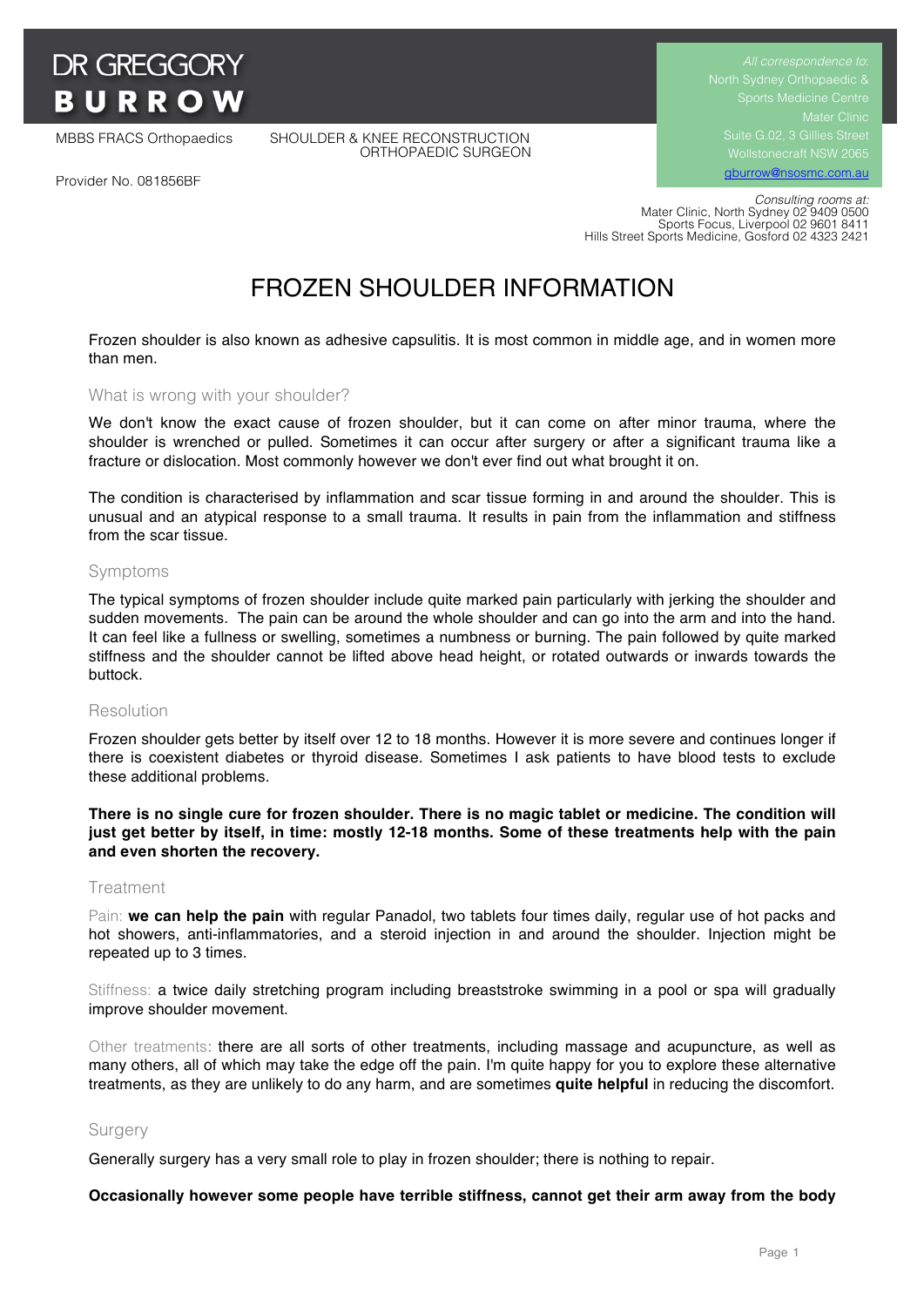# **DR GREGGORY BURROW**

MBBS FRACS Orthopaedics SHOULDER & KNEE RECONSTRUCTION ORTHOPAEDIC SURGEON Suite G.02, 3 Gillies Street Wollstonecraft NSW 2065 gburrow@nsosmc.com.au

Provider No. 081856BF

 *Consulting rooms at:* Mater Clinic, North Sydney 02 9409 0500 Sports Focus, Liverpool 02 9601 8411 Hills Street Sports Medicine, Gosford 02 4323 2421

# FROZEN SHOULDER INFORMATION

Frozen shoulder is also known as adhesive capsulitis. It is most common in middle age, and in women more than men.

#### What is wrong with your shoulder?

We don't know the exact cause of frozen shoulder, but it can come on after minor trauma, where the shoulder is wrenched or pulled. Sometimes it can occur after surgery or after a significant trauma like a fracture or dislocation. Most commonly however we don't ever find out what brought it on.

The condition is characterised by inflammation and scar tissue forming in and around the shoulder. This is unusual and an atypical response to a small trauma. It results in pain from the inflammation and stiffness from the scar tissue.

#### Symptoms

The typical symptoms of frozen shoulder include quite marked pain particularly with jerking the shoulder and sudden movements. The pain can be around the whole shoulder and can go into the arm and into the hand. It can feel like a fullness or swelling, sometimes a numbness or burning. The pain followed by quite marked stiffness and the shoulder cannot be lifted above head height, or rotated outwards or inwards towards the buttock.

#### Resolution

Frozen shoulder gets better by itself over 12 to 18 months. However it is more severe and continues longer if there is coexistent diabetes or thyroid disease. Sometimes I ask patients to have blood tests to exclude these additional problems.

**There is no single cure for frozen shoulder. There is no magic tablet or medicine. The condition will just get better by itself, in time: mostly 12-18 months. Some of these treatments help with the pain and even shorten the recovery.**

#### Treatment

Pain: **we can help the pain** with regular Panadol, two tablets four times daily, regular use of hot packs and hot showers, anti-inflammatories, and a steroid injection in and around the shoulder. Injection might be repeated up to 3 times.

Stiffness: a twice daily stretching program including breaststroke swimming in a pool or spa will gradually improve shoulder movement.

Other treatments: there are all sorts of other treatments, including massage and acupuncture, as well as many others, all of which may take the edge off the pain. I'm quite happy for you to explore these alternative treatments, as they are unlikely to do any harm, and are sometimes **quite helpful** in reducing the discomfort.

### Surgery

Generally surgery has a very small role to play in frozen shoulder; there is nothing to repair.

**Occasionally however some people have terrible stiffness, cannot get their arm away from the body**